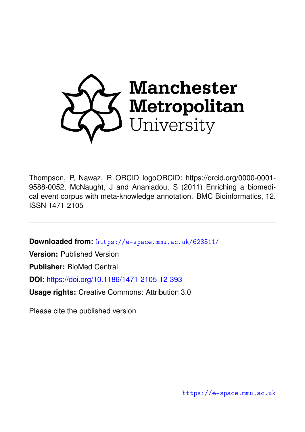

Thompson, P, Nawaz, R ORCID logoORCID: https://orcid.org/0000-0001- 9588-0052, McNaught, J and Ananiadou, S (2011) Enriching a biomedical event corpus with meta-knowledge annotation. BMC Bioinformatics, 12. ISSN 1471-2105

**Downloaded from:** <https://e-space.mmu.ac.uk/623511/>

**Version:** Published Version

**Publisher:** BioMed Central

**DOI:** <https://doi.org/10.1186/1471-2105-12-393>

**Usage rights:** Creative Commons: Attribution 3.0

Please cite the published version

<https://e-space.mmu.ac.uk>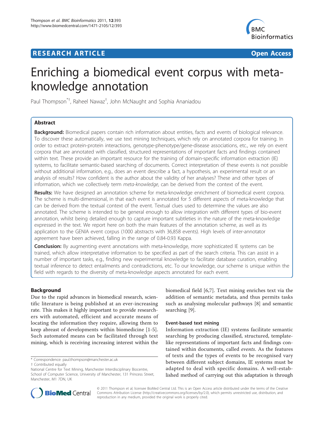# **RESEARCH ARTICLE Example 2018 12:00 Department of the Contract Open Access**



# Enriching a biomedical event corpus with metaknowledge annotation

Paul Thompson<sup>\*†</sup>, Raheel Nawaz<sup>†</sup>, John McNaught and Sophia Ananiadou

# Abstract

**Background:** Biomedical papers contain rich information about entities, facts and events of biological relevance. To discover these automatically, we use text mining techniques, which rely on annotated corpora for training. In order to extract protein-protein interactions, genotype-phenotype/gene-disease associations, etc., we rely on event corpora that are annotated with classified, structured representations of important facts and findings contained within text. These provide an important resource for the training of domain-specific information extraction (IE) systems, to facilitate semantic-based searching of documents. Correct interpretation of these events is not possible without additional information, e.g., does an event describe a fact, a hypothesis, an experimental result or an analysis of results? How confident is the author about the validity of her analyses? These and other types of information, which we collectively term meta-knowledge, can be derived from the context of the event.

Results: We have designed an annotation scheme for meta-knowledge enrichment of biomedical event corpora. The scheme is multi-dimensional, in that each event is annotated for 5 different aspects of meta-knowledge that can be derived from the textual context of the event. Textual clues used to determine the values are also annotated. The scheme is intended to be general enough to allow integration with different types of bio-event annotation, whilst being detailed enough to capture important subtleties in the nature of the meta-knowledge expressed in the text. We report here on both the main features of the annotation scheme, as well as its application to the GENIA event corpus (1000 abstracts with 36,858 events). High levels of inter-annotator agreement have been achieved, falling in the range of 0.84-0.93 Kappa.

**Conclusion:** By augmenting event annotations with meta-knowledge, more sophisticated IE systems can be trained, which allow interpretative information to be specified as part of the search criteria. This can assist in a number of important tasks, e.g., finding new experimental knowledge to facilitate database curation, enabling textual inference to detect entailments and contradictions, etc. To our knowledge, our scheme is unique within the field with regards to the diversity of meta-knowledge aspects annotated for each event.

# Background

Due to the rapid advances in biomedical research, scientific literature is being published at an ever-increasing rate. This makes it highly important to provide researchers with automated, efficient and accurate means of locating the information they require, allowing them to keep abreast of developments within biomedicine [[1-5](#page-17-0)]. Such automated means can be facilitated through text mining, which is receiving increasing interest within the

\* Correspondence: [paul.thompson@manchester.ac.uk](mailto:paul.thompson@manchester.ac.uk)

† Contributed equally

biomedical field [[6,7\]](#page-17-0). Text mining enriches text via the addition of semantic metadata, and thus permits tasks such as analysing molecular pathways [[8](#page-17-0)] and semantic searching [[9](#page-17-0)].

# Event-based text mining

Information extraction (IE) systems facilitate semantic searching by producing classified, structured, templatelike representations of important facts and findings contained within documents, called events. As the features of texts and the types of events to be recognised vary between different subject domains, IE systems must be adapted to deal with specific domains. A well-established method of carrying out this adaptation is through



© 2011 Thompson et al; licensee BioMed Central Ltd. This is an Open Access article distributed under the terms of the Creative Commons Attribution License [\(http://creativecommons.org/licenses/by/2.0](http://creativecommons.org/licenses/by/2.0)), which permits unrestricted use, distribution, and reproduction in any medium, provided the original work is properly cited.

National Centre for Text Mining, Manchester Interdisciplinary Biocentre, School of Computer Science, University of Manchester, 131 Princess Street, Manchester, M1 7DN, UK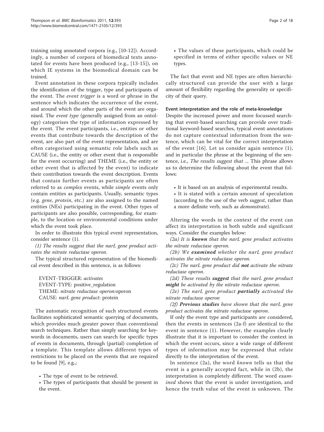training using annotated corpora (e.g., [[10-12](#page-17-0)]). Accordingly, a number of corpora of biomedical texts annotated for events have been produced (e.g., [\[13-15](#page-17-0)]), on which IE systems in the biomedical domain can be trained.

Event annotation in these corpora typically includes the identification of the trigger, type and participants of the event. The event trigger is a word or phrase in the sentence which indicates the occurrence of the event, and around which the other parts of the event are organised. The event type (generally assigned from an ontology) categorises the type of information expressed by the event. The event participants, i.e., entities or other events that contribute towards the description of the event, are also part of the event representation, and are often categorised using semantic role labels such as CAUSE (i.e., the entity or other event that is responsible for the event occurring) and THEME (i.e., the entity or other event that is affected by the event) to indicate their contribution towards the event description. Events that contain further events as participants are often referred to as complex events, while simple events only contain entities as participants. Usually, semantic types (e.g. gene, protein, etc.) are also assigned to the named entities (NEs) participating in the event. Other types of participants are also possible, corresponding, for example, to the location or environmental conditions under which the event took place.

In order to illustrate this typical event representation, consider sentence (1).

(1) The results suggest that the narL gene product activates the nitrate reductase operon.

The typical structured representation of the biomedical event described in this sentence, is as follows:

EVENT-TRIGGER: activates EVENT-TYPE: positive\_regulation THEME: nitrate reductase operon:operon CAUSE: narL gene product: protein

The automatic recognition of such structured events facilitates sophisticated semantic querying of documents, which provides much greater power than conventional search techniques. Rather than simply searching for keywords in documents, users can search for specific types of events in documents, through (partial) completion of a template. This template allows different types of restrictions to be placed on the events that are required to be found [\[9\]](#page-17-0), e.g.,:

• The type of event to be retrieved.

• The types of participants that should be present in the event.

• The values of these participants, which could be specified in terms of either specific values or NE types.

The fact that event and NE types are often hierarchically structured can provide the user with a large amount of flexibility regarding the generality or specificity of their query.

# Event interpretation and the role of meta-knowledge

Despite the increased power and more focussed searching that event-based searching can provide over traditional keyword-based searches, typical event annotations do not capture contextual information from the sentence, which can be vital for the correct interpretation of the event [[16](#page-17-0)]. Let us consider again sentence (1), and in particular the phrase at the beginning of the sentence, i.e., The results suggest that ... This phrase allows us to determine the following about the event that follows:

• It is based on an analysis of experimental results.

• It is stated with a certain amount of speculation (according to the use of the verb suggest, rather than a more definite verb, such as demonstrate).

Altering the words in the context of the event can affect its interpretation in both subtle and significant ways. Consider the examples below:

(2a) It is known that the narL gene product activates the nitrate reductase operon.

(2b) We examined whether the narL gene product activates the nitrate reductase operon.

 $(2c)$  The narL gene product did **not** activate the nitrate reductase operon.

(2d) These results suggest that the narL gene product might be activated by the nitrate reductase operon.

(2e) The narL gene product partially activated the nitrate reductase operon

(2f) Previous studies have shown that the narL gene product activates the nitrate reductase operon.

If only the event type and participants are considered, then the events in sentences (2a-f) are identical to the event in sentence (1). However, the examples clearly illustrate that it is important to consider the context in which the event occurs, since a wide range of different types of information may be expressed that relate directly to the interpretation of the event.

In sentence (2a), the word known tells us that the event is a generally accepted fact, while in (2b), the interpretation is completely different. The word examined shows that the event is under investigation, and hence the truth value of the event is unknown. The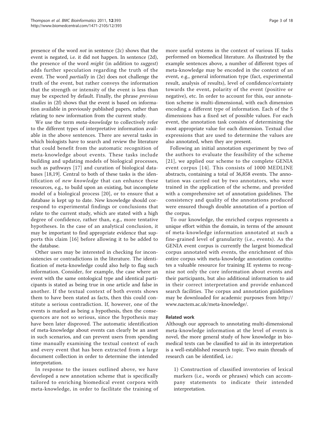presence of the word not in sentence (2c) shows that the event is negated, i.e. it did not happen. In sentence (2d), the presence of the word *might* (in addition to *suggest*) adds further speculation regarding the truth of the event. The word partially in (2e) does not challenge the truth of the event, but rather conveys the information that the strength or intensity of the event is less than may be expected by default. Finally, the phrase *previous* studies in (2f) shows that the event is based on information available in previously published papers, rather than relating to new information from the current study.

We use the term *meta-knowledge* to collectively refer to the different types of interpretative information available in the above sentences. There are several tasks in which biologists have to search and review the literature that could benefit from the automatic recognition of meta-knowledge about events. These tasks include building and updating models of biological processes, such as pathways [[17\]](#page-17-0) and curation of biological databases [[18,](#page-17-0)[19\]](#page-18-0). Central to both of these tasks is the identification of new knowledge that can enhance these resources, e.g., to build upon an existing, but incomplete model of a biological process [[20\]](#page-18-0), or to ensure that a database is kept up to date. New knowledge should correspond to experimental findings or conclusions that relate to the current study, which are stated with a high degree of confidence, rather than, e.g., more tentative hypotheses. In the case of an analytical conclusion, it may be important to find appropriate evidence that supports this claim [\[16\]](#page-17-0) before allowing it to be added to the database.

Other users may be interested in checking for inconsistencies or contradictions in the literature. The identification of meta-knowledge could also help to flag such information. Consider, for example, the case where an event with the same ontological type and identical participants is stated as being true in one article and false in another. If the textual context of both events shows them to have been stated as facts, then this could constitute a serious contradiction. If, however, one of the events is marked as being a hypothesis, then the consequences are not so serious, since the hypothesis may have been later disproved. The automatic identification of meta-knowledge about events can clearly be an asset in such scenarios, and can prevent users from spending time manually examining the textual context of each and every event that has been extracted from a large document collection in order to determine the intended interpretation.

In response to the issues outlined above, we have developed a new annotation scheme that is specifically tailored to enriching biomedical event corpora with meta-knowledge, in order to facilitate the training of

more useful systems in the context of various IE tasks performed on biomedical literature. As illustrated by the example sentences above, a number of different types of meta-knowledge may be encoded in the context of an event, e.g., general information type (fact, experimental result, analysis of results), level of confidence/certainty towards the event, polarity of the event (positive or negative), etc. In order to account for this, our annotation scheme is multi-dimensional, with each dimension encoding a different type of information. Each of the 5 dimensions has a fixed set of possible values. For each event, the annotation task consists of determining the most appropriate value for each dimension. Textual clue expressions that are used to determine the values are also annotated, when they are present.

Following an initial annotation experiment by two of the authors to evaluate the feasibility of the scheme [[21\]](#page-18-0), we applied our scheme to the complete GENIA event corpus [[14](#page-17-0)]. This consists of 1000 MEDLINE abstracts, containing a total of 36,858 events. The annotation was carried out by two annotators, who were trained in the application of the scheme, and provided with a comprehensive set of annotation guidelines. The consistency and quality of the annotations produced were ensured though double annotation of a portion of the corpus.

To our knowledge, the enriched corpus represents a unique effort within the domain, in terms of the amount of meta-knowledge information annotated at such a fine-grained level of granularity (i.e., events). As the GENIA event corpus is currently the largest biomedical corpus annotated with events, the enrichment of this entire corpus with meta-knowledge annotation constitutes a valuable resource for training IE systems to recognise not only the core information about events and their participants, but also additional information to aid in their correct interpretation and provide enhanced search facilities. The corpus and annotation guidelines may be downloaded for academic purposes from [http://](http://www.nactem.ac.uk/meta-knowledge/) [www.nactem.ac.uk/meta-knowledge/](http://www.nactem.ac.uk/meta-knowledge/).

#### Related work

Although our approach to annotating multi-dimensional meta-knowledge information at the level of events is novel, the more general study of how knowledge in biomedical texts can be classified to aid in its interpretation is a well-established research topic. Two main threads of research can be identified, i.e.:

1) Construction of classified inventories of lexical markers (i.e., words or phrases) which can accompany statements to indicate their intended interpretation.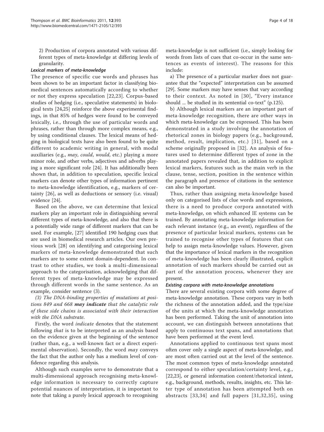2) Production of corpora annotated with various different types of meta-knowledge at differing levels of granularity.

### Lexical markers of meta-knowledge

The presence of specific cue words and phrases has been shown to be an important factor in classifying biomedical sentences automatically according to whether or not they express speculation [[22,23\]](#page-18-0). Corpus-based studies of hedging (i.e., speculative statements) in biological texts [\[24,25\]](#page-18-0) reinforce the above experimental findings, in that 85% of hedges were found to be conveyed lexically, i.e., through the use of particular words and phrases, rather than through more complex means, e.g., by using conditional clauses. The lexical means of hedging in biological texts have also been found to be quite different to academic writing in general, with modal auxiliaries (e.g., *may, could, would,* etc.) playing a more minor role, and other verbs, adjectives and adverbs playing a more significant role [[24\]](#page-18-0). It has additionally been shown that, in addition to speculation, specific lexical markers can denote other types of information pertinent to meta-knowledge identification, e.g., markers of certainty [[26\]](#page-18-0), as well as deductions or sensory (i.e. visual) evidence [\[24\]](#page-18-0).

Based on the above, we can determine that lexical markers play an important role in distinguishing several different types of meta-knowledge, and also that there is a potentially wide range of different markers that can be used. For example, [[27\]](#page-18-0) identified 190 hedging cues that are used in biomedical research articles. Our own previous work [\[28\]](#page-18-0) on identifying and categorising lexical markers of meta-knowledge demonstrated that such markers are to some extent domain-dependent. In contrast to other studies, we took a multi-dimensional approach to the categorisation, acknowledging that different types of meta-knowledge may be expressed through different words in the same sentence. As an example, consider sentence (3).

(3) The DNA-binding properties of mutations at positions 849 and 668 may indicate that the catalytic role of these side chains is associated with their interaction with the DNA substrate.

Firstly, the word indicate denotes that the statement following that is to be interpreted as an analysis based on the evidence given at the beginning of the sentence (rather than, e.g., a well-known fact or a direct experimental observation). Secondly, the word *may* conveys the fact that the author only has a medium level of confidence regarding this analysis.

Although such examples serve to demonstrate that a multi-dimensional approach recognising meta-knowledge information is necessary to correctly capture potential nuances of interpretation, it is important to note that taking a purely lexical approach to recognising meta-knowledge is not sufficient (i.e., simply looking for words from lists of cues that co-occur in the same sentences as events of interest). The reasons for this include:

a) The presence of a particular marker does not guarantee that the "expected" interpretation can be assumed [[29\]](#page-18-0). Some markers may have senses that vary according to their context. As noted in [[30](#page-18-0)], "Every instance should ... be studied in its sentential co-text" (p.125).

b) Although lexical markers are an important part of meta-knowledge recognition, there are other ways in which meta-knowledge can be expressed. This has been demonstrated in a study involving the annotation of rhetorical zones in biology papers (e.g., background, method, result, implication, etc.) [[31\]](#page-18-0), based on a scheme originally proposed in [[32\]](#page-18-0). An analysis of features used to determine different types of zone in the annotated papers revealed that, in addition to explicit lexical markers, features such as the main verb in the clause, tense, section, position in the sentence within the paragraph and presence of citations in the sentence can also be important.

Thus, rather than assigning meta-knowledge based only on categorised lists of clue words and expressions, there is a need to produce corpora annotated with meta-knowledge, on which enhanced IE systems can be trained. By annotating meta-knowledge information for each relevant instance (e.g., an event), regardless of the presence of particular lexical markers, systems can be trained to recognise other types of features that can help to assign meta-knowledge values. However, given that the importance of lexical markers in the recognition of meta-knowledge has been clearly illustrated, explicit annotation of such markers should be carried out as part of the annotation process, whenever they are present.

#### Existing corpora with meta-knowledge annotations

There are several existing corpora with some degree of meta-knowledge annotation. These corpora vary in both the richness of the annotation added, and the type/size of the units at which the meta-knowledge annotation has been performed. Taking the unit of annotation into account, we can distinguish between annotations that apply to continuous text spans, and annotations that have been performed at the event level.

Annotations applied to continuous text spans most often cover only a single aspect of meta-knowledge, and are most often carried out at the level of the sentence. The most common types of meta-knowledge annotated correspond to either speculation/certainty level, e.g., [[22,23\]](#page-18-0), or general information content/rhetorical intent, e.g., background, methods, results, insights, etc. This latter type of annotation has been attempted both on abstracts [\[33](#page-18-0),[34\]](#page-18-0) and full papers [[31,32](#page-18-0),[35\]](#page-18-0), using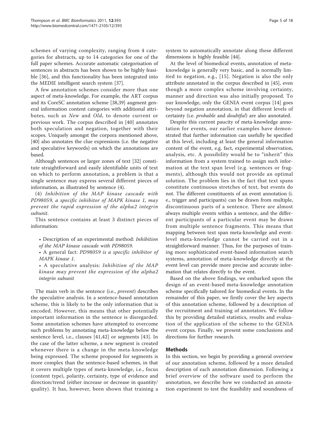schemes of varying complexity, ranging from 4 categories for abstracts, up to 14 categories for one of the full paper schemes. Accurate automatic categorisation of sentences in abstracts has been shown to be highly feasible [[36\]](#page-18-0), and this functionality has been integrated into the MEDIE intelligent search system [\[37](#page-18-0)].

A few annotation schemes consider more than one aspect of meta-knowledge. For example, the ART corpus and its CoreSC annotation scheme [[38,39\]](#page-18-0) augment general information content categories with additional attributes, such as New and Old, to denote current or previous work. The corpus described in [\[40](#page-18-0)] annotates both speculation and negation, together with their scopes. Uniquely amongst the corpora mentioned above, [[40\]](#page-18-0) also annotates the clue expressions (i.e. the negative and speculative keywords) on which the annotations are based.

Although sentences or larger zones of text [\[32](#page-18-0)] constitute straightforward and easily identifiable units of text on which to perform annotation, a problem is that a single sentence may express several different pieces of information, as illustrated by sentence (4).

(4) Inhibition of the MAP kinase cascade with PD98059, a specific inhibitor of MAPK kinase 1, may prevent the rapid expression of the alpha2 integrin subunit.

This sentence contains at least 3 distinct pieces of information:

• Description of an experimental method: Inhibition of the MAP kinase cascade with PD98059.

• A general fact: PD98059 is a specific inhibitor of MAPK kinase 1.

• A speculative analysis: Inhibition of the MAP kinase may prevent the expression of the alpha2 integrin subunit

The main verb in the sentence (i.e., prevent) describes the speculative analysis. In a sentence-based annotation scheme, this is likely to be the only information that is encoded. However, this means that other potentially important information in the sentence is disregarded. Some annotation schemes have attempted to overcome such problems by annotating meta-knowledge below the sentence level, i.e., clauses [\[41](#page-18-0),[42\]](#page-18-0) or segments [[43\]](#page-18-0). In the case of the latter scheme, a new segment is created whenever there is a change in the meta-knowledge being expressed. The scheme proposed for segments is more complex than the sentence-based schemes, in that it covers multiple types of meta-knowledge, i.e., focus (content type), polarity, certainty, type of evidence and direction/trend (either increase or decrease in quantity/ quality). It has, however, been shown that training a system to automatically annotate along these different dimensions is highly feasible [[44\]](#page-18-0).

At the level of biomedical events, annotation of metaknowledge is generally very basic, and is normally limited to negation, e.g., [[15](#page-17-0)]. Negation is also the only attribute annotated in the corpus described in [[45](#page-18-0)], even though a more complex scheme involving certainty, manner and direction was also initially proposed. To our knowledge, only the GENIA event corpus [[14\]](#page-17-0) goes beyond negation annotation, in that different levels of certainty (i.e. probable and doubtful) are also annotated.

Despite this current paucity of meta-knowledge annotation for events, our earlier examples have demonstrated that further information can usefully be specified at this level, including at least the general information content of the event, e.g. fact, experimental observation, analysis, etc. A possibility would be to "inherit" this information from a system trained to assign such information at the text span level (e.g. sentences or fragments), although this would not provide an optimal solution. The problem lies in the fact that text spans constitute continuous stretches of text, but events do not. The different constituents of an event annotation (i. e., trigger and participants) can be drawn from multiple, discontinuous parts of a sentence. There are almost always multiple events within a sentence, and the different participants of a particular event may be drawn from multiple sentence fragments. This means that mapping between text span meta-knowledge and eventlevel meta-knowledge cannot be carried out in a straightforward manner. Thus, for the purposes of training more sophisticated event-based information search systems, annotation of meta-knowledge directly at the event level can provide more precise and accurate information that relates directly to the event.

Based on the above findings, we embarked upon the design of an event-based meta-knowledge annotation scheme specifically tailored for biomedical events. In the remainder of this paper, we firstly cover the key aspects of this annotation scheme, followed by a description of the recruitment and training of annotators. We follow this by providing detailed statistics, results and evaluation of the application of the scheme to the GENIA event corpus. Finally, we present some conclusions and directions for further research.

#### Methods

In this section, we begin by providing a general overview of our annotation scheme, followed by a more detailed description of each annotation dimension. Following a brief overview of the software used to perform the annotation, we describe how we conducted an annotation experiment to test the feasibility and soundness of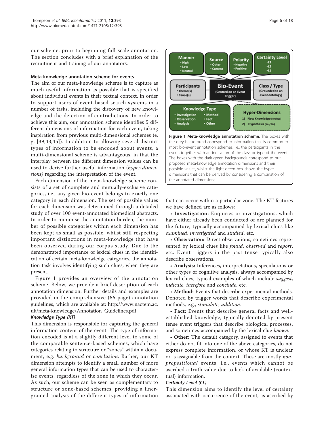our scheme, prior to beginning full-scale annotation. The section concludes with a brief explanation of the recruitment and training of our annotators.

#### Meta-knowledge annotation scheme for events

The aim of our meta-knowledge scheme is to capture as much useful information as possible that is specified about individual events in their textual context, in order to support users of event-based search systems in a number of tasks, including the discovery of new knowledge and the detection of contradictions. In order to achieve this aim, our annotation scheme identifies 5 different dimensions of information for each event, taking inspiration from previous multi-dimensional schemes (e. g. [[39,43](#page-18-0),[45](#page-18-0)]). In addition to allowing several distinct types of information to be encoded about events, a multi-dimensional scheme is advantageous, in that the interplay between the different dimension values can be used to derive further useful information (hyper-dimensions) regarding the interpretation of the event.

Each dimension of the meta-knowledge scheme consists of a set of complete and mutually-exclusive categories, i.e., any given bio-event belongs to exactly one category in each dimension. The set of possible values for each dimension was determined through a detailed study of over 100 event-annotated biomedical abstracts. In order to minimise the annotation burden, the number of possible categories within each dimension has been kept as small as possible, whilst still respecting important distinctions in meta-knowledge that have been observed during our corpus study. Due to the demonstrated importance of lexical clues in the identification of certain meta-knowledge categories, the annotation task involves identifying such clues, when they are present.

Figure 1 provides an overview of the annotation scheme. Below, we provide a brief description of each annotation dimension. Further details and examples are provided in the comprehensive (66-page) annotation guidelines, which are available at: [http://www.nactem.ac.](http://www.nactem.ac.uk/meta-knowledge/Annotation_Guidelines.pdf) [uk/meta-knowledge/Annotation\\_Guidelines.pdf](http://www.nactem.ac.uk/meta-knowledge/Annotation_Guidelines.pdf)

#### Knowledge Type (KT)

This dimension is responsible for capturing the general information content of the event. The type of information encoded is at a slightly different level to some of the comparable sentence-based schemes, which have categories relating to structure or "zones" within a document, e.g. *background* or *conclusion*. Rather, our KT dimension attempts to identify a small number of more general information types that can be used to characterise events, regardless of the zone in which they occur. As such, our scheme can be seen as complementary to structure or zone-based schemes, providing a finergrained analysis of the different types of information



that can occur within a particular zone. The KT features we have defined are as follows:

• Investigation: Enquiries or investigations, which have either already been conducted or are planned for the future, typically accompanied by lexical clues like examined, investigated and studied, etc.

• Observation: Direct observations, sometimes represented by lexical clues like *found*, *observed* and *report*, etc. Event triggers in the past tense typically also describe observations.

• Analysis: Inferences, interpretations, speculations or other types of cognitive analysis, always accompanied by lexical clues, typical examples of which include *suggest*, indicate, therefore and conclude, etc.

• Method: Events that describe experimental methods. Denoted by trigger words that describe experimental methods, e.g., stimulate, addition.

• Fact: Events that describe general facts and wellestablished knowledge, typically denoted by present tense event triggers that describe biological processes, and sometimes accompanied by the lexical clue known.

• Other: The default category, assigned to events that either do not fit into one of the above categories, do not express complete information, or whose KT is unclear or is assignable from the context. These are mostly *non*propositional events, i.e., events which cannot be ascribed a truth value due to lack of available (contextual) information.

#### Certainty Level (CL)

This dimension aims to identify the level of certainty associated with occurrence of the event, as ascribed by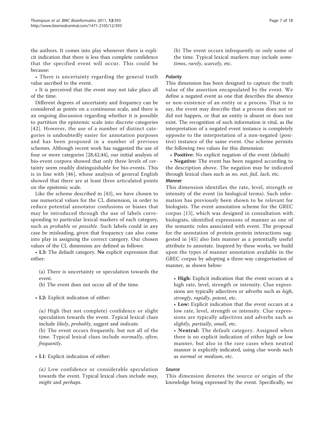the authors. It comes into play whenever there is explicit indication that there is less than complete confidence that the specified event will occur. This could be because:

• There is uncertainty regarding the general truth value ascribed to the event.

• It is perceived that the event may not take place all of the time.

Different degrees of uncertainty and frequency can be considered as points on a continuous scale, and there is an ongoing discussion regarding whether it is possible to partition the epistemic scale into discrete categories [[42\]](#page-18-0). However, the use of a number of distinct categories is undoubtedly easier for annotation purposes and has been proposed in a number of previous schemes. Although recent work has suggested the use of four or more categories [\[28,42,44](#page-18-0)], our initial analysis of bio-event corpora showed that only three levels of certainty seem readily distinguishable for bio-events. This is in line with [[46](#page-18-0)], whose analysis of general English showed that there are at least three articulated points on the epistemic scale.

Like the scheme described in [[43](#page-18-0)], we have chosen to use numerical values for the CL dimension, in order to reduce potential annotator confusions or biases that may be introduced through the use of labels corresponding to particular lexical markers of each category, such as probable or possible. Such labels could in any case be misleading, given that frequency can also come into play in assigning the correct category. Our chosen values of the CL dimension are defined as follows:

• L3: The default category. No explicit expression that either:

(a) There is uncertainty or speculation towards the event.

- (b) The event does not occur all of the time.
- L2: Explicit indication of either:

(a) High (but not complete) confidence or slight speculation towards the event. Typical lexical clues include likely, probably, suggest and indicate.

(b) The event occurs frequently, but not all of the time. Typical lexical clues include normally, often, frequently.

• **L1**: Explicit indication of either:

(a) Low confidence or considerable speculation towards the event. Typical lexical clues include may, might and perhaps.

(b) The event occurs infrequently or only some of the time. Typical lexical markers may include sometimes, rarely, scarcely, etc.

### Polarity

This dimension has been designed to capture the truth value of the assertion encapsulated by the event. We define a negated event as one that describes the absence or non-existence of an entity or a process. That is to say, the event may describe that a process does not or did not happen, or that an entity is absent or does not exist. The recognition of such information is vital, as the interpretation of a negated event instance is completely opposite to the interpretation of a non-negated (positive) instance of the same event. Our scheme permits the following two values for this dimension:

• Positive: No explicit negation of the event (default)

• Negative: The event has been negated according to the description above. The negation may be indicated through lexical clues such as no, not, fail, lack, etc. Manner

This dimension identifies the rate, level, strength or intensity of the event (in biological terms). Such information has previously been shown to be relevant for biologists. The event annotation scheme for the GREC corpus [[13](#page-17-0)], which was designed in consultation with biologists, identified expressions of manner as one of the semantic roles associated with event. The proposal for the annotation of protein-protein interactions suggested in [\[45\]](#page-18-0) also lists manner as a potentially useful attribute to annotate. Inspired by these works, we build upon the types of manner annotation available in the GREC corpus by adopting a three-way categorisation of manner, as shown below:

• High: Explicit indication that the event occurs at a high rate, level, strength or intensity. Clue expressions are typically adjectives or adverbs such as high, strongly, rapidly, potent, etc.

• Low: Explicit indication that the event occurs at a low rate, level, strength or intensity. Clue expressions are typically adjectives and adverbs such as slightly, partially, small, etc.

• Neutral: The default category. Assigned when there is no explicit indication of either high or low manner, but also in the rare cases when neutral manner is explicitly indicated, using clue words such as normal or medium, etc.

### Source

This dimension denotes the source or origin of the knowledge being expressed by the event. Specifically, we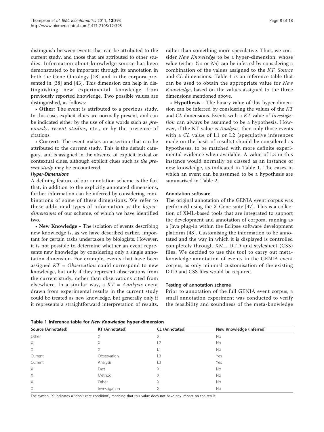<span id="page-8-0"></span>distinguish between events that can be attributed to the current study, and those that are attributed to other studies. Information about knowledge source has been demonstrated to be important through its annotation in both the Gene Ontology [[18\]](#page-17-0) and in the corpora presented in [\[38\]](#page-18-0) and [\[43\]](#page-18-0). This dimension can help in distinguishing new experimental knowledge from previously reported knowledge. Two possible values are distinguished, as follows:

• Other: The event is attributed to a previous study. In this case, explicit clues are normally present, and can be indicated either by the use of clue words such as previously, recent studies, etc., or by the presence of citations.

• Current: The event makes an assertion that can be attributed to the current study. This is the default category, and is assigned in the absence of explicit lexical or contextual clues, although explicit clues such as the present study may be encountered.

# Hyper-Dimensions

A defining feature of our annotation scheme is the fact that, in addition to the explicitly annotated dimensions, further information can be inferred by considering combinations of some of these dimensions. We refer to these additional types of information as the hyperdimensions of our scheme, of which we have identified two.

• New Knowledge - The isolation of events describing new knowledge is, as we have described earlier, important for certain tasks undertaken by biologists. However, it is not possible to determine whether an event represents new knowledge by considering only a single annotation dimension. For example, events that have been assigned  $KT = Observation$  could correspond to new knowledge, but only if they represent observations from the current study, rather than observations cited from elsewhere. In a similar way, a  $KT = Analysis$  event drawn from experimental results in the current study could be treated as new knowledge, but generally only if it represents a straightforward interpretation of results, rather than something more speculative. Thus, we consider New Knowledge to be a hyper-dimension, whose value (either Yes or No) can be inferred by considering a combination of the values assigned to the KT, Source and CL dimensions. Table 1 is an inference table that can be used to obtain the appropriate value for New Knowledge, based on the values assigned to the three dimensions mentioned above.

• Hypothesis - The binary value of this hyper-dimension can be inferred by considering the values of the KT and CL dimensions. Events with a KT value of Investigation can always be assumed to be a hypothesis. However, if the KT value is Analysis, then only those events with a CL value of L1 or L2 (speculative inferences made on the basis of results) should be considered as hypotheses, to be matched with more definite experimental evidence when available. A value of L3 in this instance would normally be classed as an instance of new knowledge, as indicated in Table 1. The cases in which an event can be assumed to be a hypothesis are summarised in Table [2](#page-9-0).

# Annotation software

The original annotation of the GENIA event corpus was performed using the X-Conc suite [[47\]](#page-18-0). This is a collection of XML-based tools that are integrated to support the development and annotation of corpora, running as a Java plug-in within the Eclipse software development platform [[48\]](#page-18-0). Customising the information to be annotated and the way in which it is displayed is controlled completely through XML DTD and stylesheet (CSS) files. We decided to use this tool to carry out metaknowledge annotation of events in the GENIA event corpus, as only minimal customisation of the existing DTD and CSS files would be required.

# Testing of annotation scheme

Prior to annotation of the full GENIA event corpus, a small annotation experiment was conducted to verify the feasibility and soundness of the meta-knowledge

| .<br>__            |                |                |                          |  |
|--------------------|----------------|----------------|--------------------------|--|
| Source (Annotated) | KT (Annotated) | CL (Annotated) | New Knowledge (Inferred) |  |
| Other              | л              | х              | No                       |  |
| X.                 | Х              | L2             | No                       |  |
| X.                 | X              |                | No                       |  |
| Current            | Observation    | L3             | Yes                      |  |
| Current            | Analysis       | L3             | Yes                      |  |
| X.                 | Fact           | Х              | No                       |  |
| X.                 | Method         | Χ              | No                       |  |
| Χ                  | Other          | X              | No                       |  |
| Χ                  | Investigation  | Χ              | No                       |  |

Table 1 Inference table for New Knowledge hyper-dimension

The symbol 'X' indicates a "don't care condition", meaning that this value does not have any impact on the result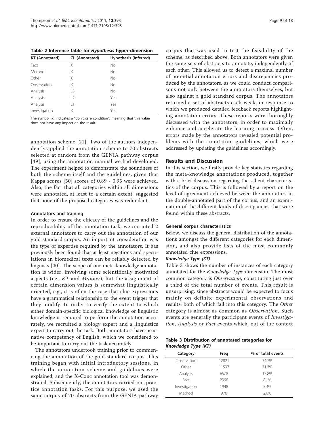<span id="page-9-0"></span>Table 2 Inference table for Hypothesis hyper-dimension

| <b>KT (Annotated)</b> | CL (Annotated) | Hypothesis (Inferred) |
|-----------------------|----------------|-----------------------|
| Fact                  | Χ              | No                    |
| Method                | Χ              | Νo                    |
| Other                 | X              | No                    |
| Observation           | Χ              | No                    |
| Analysis              | $\overline{3}$ | No                    |
| Analysis              | $\sqrt{2}$     | Yes                   |
| Analysis              | $\vert$ 1      | Yes                   |
| Investigation         | Χ              | Yes                   |

The symbol 'X' indicates a "don't care condition", meaning that this value does not have any impact on the result.

annotation scheme [\[21\]](#page-18-0). Two of the authors independently applied the annotation scheme to 70 abstracts selected at random from the GENIA pathway corpus [[49\]](#page-18-0), using the annotation manual we had developed. The experiment helped to demonstrate the soundness of both the scheme itself and the guidelines, given that Kappa scores [[50](#page-18-0)] scores of 0.89 - 0.95 were achieved. Also, the fact that all categories within all dimensions were annotated, at least to a certain extent, suggested that none of the proposed categories was redundant.

# Annotators and training

In order to ensure the efficacy of the guidelines and the reproducibility of the annotation task, we recruited 2 external annotators to carry out the annotation of our gold standard corpus. An important consideration was the type of expertise required by the annotators. It has previously been found that at least negations and speculations in biomedical texts can be reliably detected by linguists [[40\]](#page-18-0). The scope of our meta-knowledge annotation is wider, involving some scientifically motivated aspects (i.e., KT and Manner), but the assignment of certain dimension values is somewhat linguistically oriented, e.g., it is often the case that clue expressions have a grammatical relationship to the event trigger that they modify. In order to verify the extent to which either domain-specific biological knowledge or linguistic knowledge is required to perform the annotation accurately, we recruited a biology expert and a linguistics expert to carry out the task. Both annotators have nearnative competency of English, which we considered to be important to carry out the task accurately.

The annotators undertook training prior to commencing the annotation of the gold standard corpus. This training began with initial introductory sessions, in which the annotation scheme and guidelines were explained, and the X-Conc annotation tool was demonstrated. Subsequently, the annotators carried out practice annotation tasks. For this purpose, we used the same corpus of 70 abstracts from the GENIA pathway corpus that was used to test the feasibility of the scheme, as described above. Both annotators were given the same sets of abstracts to annotate, independently of each other. This allowed us to detect a maximal number of potential annotation errors and discrepancies produced by the annotators, as we could conduct comparisons not only between the annotators themselves, but also against a gold standard corpus. The annotators returned a set of abstracts each week, in response to which we produced detailed feedback reports highlighting annotation errors. These reports were thoroughly discussed with the annotators, in order to maximally enhance and accelerate the learning process. Often, errors made by the annotators revealed potential problems with the annotation guidelines, which were addressed by updating the guidelines accordingly.

# Results and Discussion

In this section, we firstly provide key statistics regarding the meta-knowledge annotations produced, together with a brief discussion regarding the salient characteristics of the corpus. This is followed by a report on the level of agreement achieved between the annotators in the double-annotated part of the corpus, and an examination of the different kinds of discrepancies that were found within these abstracts.

# General corpus characteristics

Below, we discuss the general distribution of the annotations amongst the different categories for each dimension, and also provide lists of the most commonly annotated clue expressions.

# Knowledge Type (KT)

Table 3 shows the number of instances of each category annotated for the Knowledge Type dimension. The most common category is Observation, constituting just over a third of the total number of events. This result is unsurprising, since abstracts would be expected to focus mainly on definite experimental observations and results, both of which fall into this category. The Other category is almost as common as Observation. Such events are generally the participant events of Investigation, Analysis or Fact events which, out of the context

# Table 3 Distribution of annotated categories for Knowledge Type (KT)

| Category      | Freg  | % of total events |
|---------------|-------|-------------------|
| Observation   | 12821 | 34.7%             |
| Other         | 11537 | 31.3%             |
| Analysis      | 6578  | 17.8%             |
| Fact          | 2998  | 8.1%              |
| Investigation | 1948  | 5.3%              |
| Method        | 976   | 2.6%              |
|               |       |                   |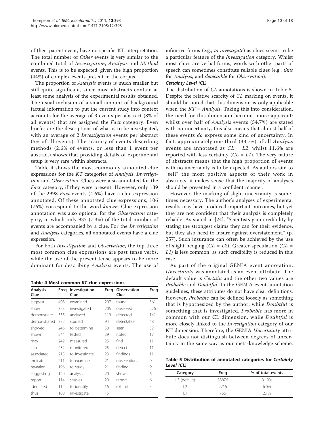<span id="page-10-0"></span>of their parent event, have no specific KT interpretation. The total number of Other events is very similar to the combined total of Investigation, Analysis and Method events. This is to be expected, given the high proportion (44%) of complex events present in the corpus.

The proportion of *Analysis* events is much smaller but still quite significant, since most abstracts contain at least some analysis of the experimental results obtained. The usual inclusion of a small amount of background factual information to put the current study into context accounts for the average of 3 events per abstract (8% of all events) that are assigned the *Fact* category. Even briefer are the descriptions of what is to be investigated, with an average of 2 Investigation events per abstract (5% of all events). The scarcity of events describing methods (2.6% of events, or less than 1 event per abstract) shows that providing details of experimental setup is very rare within abstracts.

Table 4 shows the most commonly annotated clue expressions for the KT categories of Analysis, Investigation and Observation. Clues were also annotated for the Fact category, if they were present. However, only 139 of the 2998 Fact events (4.6%) have a clue expression annotated. Of these annotated clue expressions, 106 (76%) correspond to the word known. Clue expression annotation was also optional for the Observation category, in which only 937 (7.3%) of the total number of events are accompanied by a clue. For the Investigation and Analysis categories, all annotated events have a clue expression.

For both Investigation and Observation, the top three most common clue expressions are past tense verbs, while the use of the present tense appears to be more dominant for describing Analysis events. The use of

Table 4 Most common KT clue expressions

| <b>Analysis</b><br>Clue | Freq | Investigation<br>Clue | Freq | Observation<br>Clue | Freg |
|-------------------------|------|-----------------------|------|---------------------|------|
| suggest                 | 408  | examined              | 207  | found               | 361  |
| show                    | 353  | investigated          | 205  | observed            | 226  |
| demonstrate             | 335  | analyzed              | 119  | detected            | 141  |
| demonstrated            | 332  | studied               | 94   | detectable          | 48   |
| showed                  | 246  | to determine          | 50   | seen                | 32   |
| shown                   | 244  | tested                | 39   | noted               | 17   |
| may                     | 242  | measured              | 25   | find                | 11   |
| can                     | 232  | monitored             | 25   | detect              | 11   |
| associated              | 215  | to investigate        | 23   | findings            | 11   |
| indicate                | 211  | to examine            | 21   | observations        | 9    |
| revealed                | 196  | to study              | 21   | finding             | 9    |
| suggesting              | 140  | analysis              | 20   | show                | 6    |
| report                  | 114  | studies               | 20   | report              | 6    |
| identified              | 112  | to identify           | 16   | exhibit             | 5    |
| thus                    | 108  | investigate           | 15   |                     |      |

infinitive forms (e.g., to investigate) as clues seems to be a particular feature of the Investigation category. Whilst most clues are verbal forms, words with other parts of speech can sometimes constitute reliable clues (e.g., thus for Analysis, and detectable for Observation).

#### Certainty Level (CL)

The distribution of CL annotations is shown in Table 5. Despite the relative scarcity of CL marking on events, it should be noted that this dimension is only applicable when the  $KT = Analysis$ . Taking this into consideration, the need for this dimension becomes more apparent: whilst over half of Analysis events (54.7%) are stated with no uncertainty, this also means that almost half of these events do express some kind of uncertainty. In fact, approximately one third (33.7%) of all Analysis events are annotated as  $CL = L2$ , whilst 11.6% are reported with less certainty  $(CL = LI)$ . The very nature of abstracts means that the high proportion of events with no uncertainty is to be expected. As authors aim to "sell" the most positive aspects of their work in abstracts, it makes sense that the majority of analyses should be presented in a confident manner.

However, the marking of slight uncertainty is sometimes necessary. The author's analyses of experimental results may have produced important outcomes, but yet they are not confident that their analysis is completely reliable. As stated in [[24\]](#page-18-0), "Scientists gain credibility by stating the strongest claims they can for their evidence, but they also need to insure against overstatement." (p. 257). Such insurance can often be achieved by the use of slight hedging  $(CL = L2)$ . Greater speculation  $(CL =$ L1) is less common, as such credibility is reduced in this case.

As part of the original GENIA event annotation, Uncertainty was annotated as an event attribute. The default value is *Certain* and the other two values are Probable and Doubtful. In the GENIA event annotation guidelines, these attributes do not have clear definitions. However, Probable can be defined loosely as something that is hypothesized by the author, while Doubtful is something that is investigated. Probable has more in common with our CL dimension, while Doubtful is more closely linked to the Investigation category of our KT dimension. Therefore, the GENIA *Uncertainty* attribute does not distinguish between degrees of uncertainty in the same way as our meta-knowledge scheme.

Table 5 Distribution of annotated categories for Certainty Level (CL)

| Category     | Freg  | % of total events |
|--------------|-------|-------------------|
| L3 (default) | 33876 | 91.9%             |
|              | 2216  | 6.0%              |
|              | 766   | 21%               |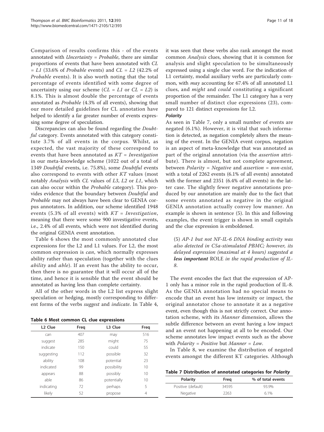Comparison of results confirms this - of the events annotated with *Uncertainty* = Probable, there are similar proportions of events that have been annotated with CL  $= L1$  (33.6% of *Probable* events) and  $CL = L2$  (42.2% of Probable events). It is also worth noting that the total percentage of events identified with some degree of uncertainty using our scheme  $(CL = L1$  or  $CL = L2)$  is 8.1%. This is almost double the percentage of events annotated as Probable (4.3% of all events), showing that our more detailed guidelines for CL annotation have helped to identify a far greater number of events expressing some degree of speculation.

Discrepancies can also be found regarding the Doubtful category. Events annotated with this category constitute 3.7% of all events in the corpus. Whilst, as expected, the vast majority of these correspond to events that have been annotated as  $KT = Investigation$ in our meta-knowledge scheme (1022 out of a total of 1349 Doubtful events, i.e. 75.8%), some Doubtful events also correspond to events with other KT values (most notably Analysis with CL values of L3, L2 or L1, which can also occur within the Probable category). This provides evidence that the boundary between Doubtful and Probable may not always have been clear to GENIA corpus annotators. In addition, our scheme identified 1948 events (5.3% of all events) with  $KT = Investigation$ , meaning that there were some 900 investigative events, i.e., 2.4% of all events, which were not identified during the original GENIA event annotation.

Table 6 shows the most commonly annotated clue expressions for the L2 and L1 values. For L2, the most common expression is can, which normally expresses ability rather than speculation (together with the clues ability and able). If an event has the ability to occur, then there is no guarantee that it will occur all of the time, and hence it is sensible that the event should be annotated as having less than complete certainty.

All of the other words in the L2 list express slight speculation or hedging, mostly corresponding to different forms of the verbs suggest and indicate. In Table [4](#page-10-0),

Table 6 Most common CL clue expressions

| L <sub>2</sub> Clue | Freg | L3 Clue     | Freq |
|---------------------|------|-------------|------|
| can                 | 407  | may         | 516  |
| suggest             | 285  | might       | 75   |
| indicate            | 150  | could       | 55   |
| suggesting          | 112  | possible    | 32   |
| ability             | 108  | potential   | 23   |
| indicated           | 99   | possibility | 10   |
| appears             | 88   | possibly    | 10   |
| able                | 86   | potentially | 10   |
| indicating          | 72   | perhaps     | 5    |
| likely              | 52   | propose     | 4    |

it was seen that these verbs also rank amongst the most common Analysis clues, showing that it is common for analysis and slight speculation to be simultaneously expressed using a single clue word. For the indication of L1 certainty, modal auxiliary verbs are particularly common, with may accounting for 67.4% of all annotated L1 clues, and might and could constituting a significant proportion of the remainder. The L1 category has a very small number of distinct clue expressions (23), compared to 121 distinct expressions for L2.

#### Polarity

As seen in Table 7, only a small number of events are negated (6.1%). However, it is vital that such information is detected, as negation completely alters the meaning of the event. In the GENIA event corpus, negation is an aspect of meta-knowledge that was annotated as part of the original annotation (via the *assertion* attribute). There is almost, but not complete agreement, between *Polarity* = *Negative* and *assertion* = *non-exist*, with a total of 2262 events (6.1% of all events) annotated with the former and 2351 (6.4% of all events) in the latter case. The slightly fewer negative annotations produced by our annotation are mainly due to the fact that some events annotated as negative in the original GENIA annotation actually convey low manner. An example is shown in sentence (5). In this and following examples, the event trigger is shown in small capitals and the clue expression is emboldened.

(5) AP-1 but not NF-IL-6 DNA binding activity was also detected in C5a-stimulated PBMC; however, its delayed expression (maximal at 4 hours) suggested a less important ROLE in the rapid production of IL-8.

The event encodes the fact that the expression of AP-1 only has a minor role in the rapid production of IL-8. As the GENIA annotation had no special means to encode that an event has low intensity or impact, the original annotator chose to annotate it as a negative event, even though this is not strictly correct. Our annotation scheme, with its Manner dimension, allows the subtle difference between an event having a low impact and an event not happening at all to be encoded. Our scheme annotates low impact events such as the above with  $Polarity = Positive$  but Manner = Low.

In Table [8,](#page-12-0) we examine the distribution of negated events amongst the different KT categories. Although

| Table 7 Distribution of annotated categories for Polarity |  |  |
|-----------------------------------------------------------|--|--|
|-----------------------------------------------------------|--|--|

| Polarity           | Freg  | % of total events |
|--------------------|-------|-------------------|
| Positive (default) | 34595 | 93 9%             |
| Negative           | 2263  | 6.1%              |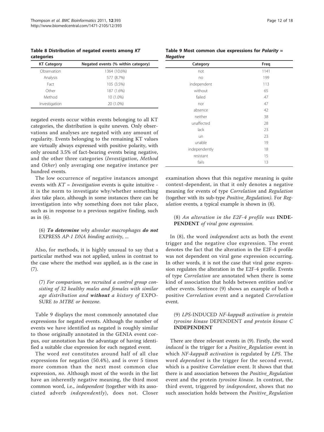<span id="page-12-0"></span>Table 8 Distribution of negated events among KT categories

| <b>KT Category</b> | Negated events (% within category) |
|--------------------|------------------------------------|
| Observation        | 1364 (10.6%)                       |
| Analysis           | 577 (8.7%)                         |
| Fact               | 105 (3.5%)                         |
| Other              | 187 (1.6%)                         |
| Method             | 10 (1.0%)                          |
| Investigation      | 20 (1.0%)                          |

negated events occur within events belonging to all KT categories, the distribution is quite uneven. Only observations and analyses are negated with any amount of regularity. Events belonging to the remaining KT values are virtually always expressed with positive polarity, with only around 3.5% of fact-bearing events being negative, and the other three categories (Investigation, Method and Other) only averaging one negative instance per hundred events.

The low occurrence of negative instances amongst events with  $KT = Investigation$  events is quite intuitive it is the norm to investigate why/whether something does take place, although in some instances there can be investigation into why something does not take place, such as in response to a previous negative finding, such as in (6).

# (6) To determine why alveolar macrophages do not EXPRESS AP-1 DNA binding activity, ...

Also, for methods, it is highly unusual to say that a particular method was not applied, unless in contrast to the case where the method was applied, as is the case in (7).

(7) For comparison, we recruited a control group consisting of 32 healthy males and females with similar age distribution and without a history of EXPO-SURE to MTBE or benzene.

Table 9 displays the most commonly annotated clue expressions for negated events. Although the number of events we have identified as negated is roughly similar to those originally annotated in the GENIA event corpus, our annotation has the advantage of having identified a suitable clue expression for each negated event.

The word *not* constitutes around half of all clue expressions for negation (50.4%), and is over 5 times more common than the next most common clue expression, no. Although most of the words in the list have an inherently negative meaning, the third most common word, i.e., independent (together with its associated adverb independently), does not. Closer

# Table 9 Most common clue expressions for Polarity = **Negative**

 $\overline{\phantom{a}}$ 

| Category      | Freq |
|---------------|------|
| not           | 1141 |
| no            | 199  |
| independent   | 113  |
| without       | 65   |
| failed        | 47   |
| nor           | 47   |
| absence       | 42   |
| neither       | 38   |
| unaffected    | 28   |
| lack          | 23   |
| un            | 23   |
| unable        | 19   |
| independently | 18   |
| resistant     | 15   |
| fails         | 13   |

examination shows that this negative meaning is quite context-dependent, in that it only denotes a negative meaning for events of type Correlation and Regulation (together with its sub-type Positive\_Regulation). For Regulation events, a typical example is shown in  $(8)$ .

# (8) An alteration in the E2F-4 profile was INDE-PENDENT of viral gene expression.

In (8), the word independent acts as both the event trigger and the negative clue expression. The event denotes the fact that the alteration in the E2F-4 profile was not dependent on viral gene expression occurring. In other words, it is not the case that viral gene expression regulates the alteration in the E2F-4 profile. Events of type Correlation are annotated when there is some kind of association that holds between entities and/or other events. Sentence (9) shows an example of both a positive Correlation event and a negated Correlation event.

# (9) LPS-INDUCED NF-kappaB activation is protein tyrosine kinase DEPENDENT and protein kinase C INDEPENDENT

There are three relevant events in (9). Firstly, the word induced is the trigger for a Positive\_Regulation event in which NF-kappaB activation is regulated by LPS. The word *dependent* is the trigger for the second event, which is a positive *Correlation* event. It shows that that there is and association between the Positive\_Regulation event and the protein tyrosine kinase. In contrast, the third event, triggered by independent, shows that no such association holds between the Positive\_Regulation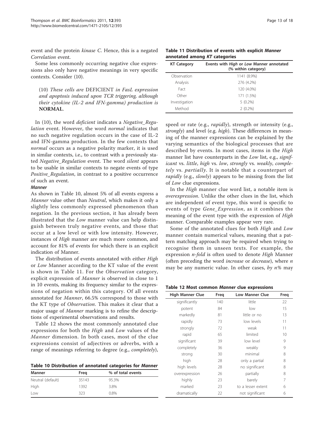event and the protein kinase C. Hence, this is a negated Correlation event.

Some less commonly occurring negative clue expressions also only have negative meanings in very specific contexts. Consider (10).

(10) These cells are DEFICIENT in FasL expression and apoptosis induced upon TCR triggering, although their cytokine (IL-2 and IFN-gamma) production is NORMAL.

In (10), the word deficient indicates a Negative\_Regulation event. However, the word normal indicates that no such negative regulation occurs in the case of IL-2 and IFN-gamma production. In the few contexts that normal occurs as a negative polarity marker, it is used in similar contexts, i.e., to contrast with a previously stated Negative\_Regulation event. The word silent appears to be usable in similar contexts to negate events of type Positive\_Regulation, in contrast to a positive occurrence of such an event.

#### Manner

As shown in Table 10, almost 5% of all events express a Manner value other than Neutral, which makes it only a slightly less commonly expressed phenomenon than negation. In the previous section, it has already been illustrated that the Low manner value can help distinguish between truly negative events, and those that occur at a low level or with low intensity. However, instances of High manner are much more common, and account for 81% of events for which there is an explicit indication of Manner.

The distribution of events annotated with either High or Low Manner according to the KT value of the event is shown in Table 11. For the Observation category, explicit expression of Manner is observed in close to 1 in 10 events, making its frequency similar to the expressions of negation within this category. Of all events annotated for Manner, 66.5% correspond to those with the KT type of Observation. This makes it clear that a major usage of Manner marking is to refine the descriptions of experimental observations and results.

Table 12 shows the most commonly annotated clue expressions for both the High and Low values of the Manner dimension. In both cases, most of the clue expressions consist of adjectives or adverbs, with a range of meanings referring to degree (e.g., completely),

Table 10 Distribution of annotated categories for Manner

| Manner            | Freg  | % of total events |
|-------------------|-------|-------------------|
| Neutral (default) | 35143 | 95.3%             |
| High              | 1392  | 3.8%              |
| Low               | 323   | 0.8%              |

Table 11 Distribution of events with explicit Manner annotated among KT categories

| <b>KT Category</b> | Events with High or Low Manner annotated<br>(% within category) |
|--------------------|-----------------------------------------------------------------|
| Observation        | 1141 (8.9%)                                                     |
| Analysis           | 276 (4.2%)                                                      |
| Fact               | 120 (4.0%)                                                      |
| Other              | 171 (1.5%)                                                      |
| Investigation      | $5(0.2\%)$                                                      |
| Method             | $2(0.2\%)$                                                      |

speed or rate (e.g., *rapidly*), strength or intensity (e.g., strongly) and level (e.g. high). These differences in meaning of the manner expressions can be explained by the varying semantics of the biological processes that are described by events. In most cases, items in the High manner list have counterparts in the Low list, e.g., significant vs. little, high vs. low, strongly vs. weakly, completely vs. partially. It is notable that a counterpart of rapidly (e.g., slowly) appears to be missing from the list of Low clue expressions.

In the High manner clue word list, a notable item is overexpression. Unlike the other clues in the list, which are independent of event type, this word is specific to events of type Gene\_Expression, as it combines the meaning of the event type with the expression of High manner. Comparable examples appear very rare.

Some of the annotated clues for both High and Low manner contain numerical values, meaning that a pattern matching approach may be required when trying to recognise them in unseen texts. For example, the expression *n-fold* is often used to denote High Manner (often preceding the word *increase* or *decrease*), where  $n$ may be any numeric value. In other cases, by  $n\%$  may

|  |  |  |  |  |  | Table 12 Most common Manner clue expressions |
|--|--|--|--|--|--|----------------------------------------------|
|--|--|--|--|--|--|----------------------------------------------|

| <b>High Manner Clue</b> | Freq | <b>Low Manner Clue</b> | Freq |
|-------------------------|------|------------------------|------|
| significantly           | 140  | little                 | 22   |
| potent                  | 84   | low                    | 15   |
| markedly                | 81   | little or no           | 13   |
| rapidly                 | 73   | low levels             | 11   |
| strongly                | 72   | weak                   | 11   |
| rapid                   | 65   | limited                | 10   |
| significant             | 39   | low level              | 9    |
| completely              | 36   | weakly                 | 9    |
| strong                  | 30   | minimal                | 8    |
| high                    | 28   | only a partial         | 8    |
| high levels             | 28   | no significant         | 8    |
| overexpression          | 26   | partially              | 8    |
| highly                  | 23   | barely                 | 7    |
| marked                  | 23   | to a lesser extent     | 6    |
| dramatically            | 22   | not significant        | 6    |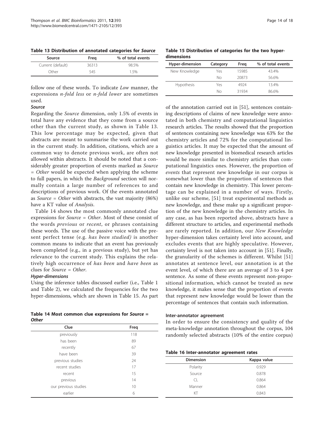<span id="page-14-0"></span>

|  |  | Table 13 Distribution of annotated categories for Source |  |  |  |  |  |
|--|--|----------------------------------------------------------|--|--|--|--|--|
|--|--|----------------------------------------------------------|--|--|--|--|--|

| Source            | Freg  | % of total events |
|-------------------|-------|-------------------|
| Current (default) | 36313 | 98.5%             |
| Other             | 545   | 15%               |

follow one of these words. To indicate Low manner, the expressions n-fold less or n-fold lower are sometimes used.

# Source

Regarding the Source dimension, only 1.5% of events in total have any evidence that they come from a source other than the current study, as shown in Table 13. This low percentage may be expected, given that abstracts are meant to summarise the work carried out in the current study. In addition, citations, which are a common way to denote previous work, are often not allowed within abstracts. It should be noted that a considerably greater proportion of events marked as Source  $=$  Other would be expected when applying the scheme to full papers, in which the Background section will normally contain a large number of references to and descriptions of previous work. Of the events annotated as *Source* = *Other* with abstracts, the vast majority  $(86%)$ have a KT value of Analysis.

Table 14 shows the most commonly annotated clue expressions for Source = Other. Most of these consist of the words previous or recent, or phrases containing these words. The use of the passive voice with the present perfect tense (e.g. has been studied) is another common means to indicate that an event has previously been completed (e.g., in a previous study), but yet has relevance to the current study. This explains the relatively high occurrence of has been and have been as clues for Source = Other.

# Hyper-dimensions

Using the inference tables discussed earlier (i.e., Table [1](#page-8-0) and Table [2](#page-9-0)), we calculated the frequencies for the two hyper-dimensions, which are shown in Table 15. As part

Table 14 Most common clue expressions for Source = **Other** 

| Clue                 | Freq |
|----------------------|------|
| previously           | 118  |
| has been             | 89   |
| recently             | 67   |
| have been            | 39   |
| previous studies     | 24   |
| recent studies       | 17   |
| recent               | 15   |
| previous             | 14   |
| our previous studies | 10   |
| earlier              | 6    |

Table 15 Distribution of categories for the two hyperdimensions

| Hyper-dimension | Category | Freg  | % of total events |
|-----------------|----------|-------|-------------------|
| New Knowledge   | Yes      | 15985 | 43.4%             |
|                 | Nο       | 20873 | 56.6%             |
| Hypothesis      | Yes      | 4924  | 13.4%             |
|                 | Nο       | 31934 | 86.6%             |

of the annotation carried out in [\[51](#page-18-0)], sentences containing descriptions of claims of new knowledge were annotated in both chemistry and computational linguistics research articles. The results showed that the proportion of sentences containing new knowledge was 63% for the chemistry articles and 72% for the computational linguistics articles. It may be expected that the amount of new knowledge presented in biomedical research articles would be more similar to chemistry articles than computational linguistics ones. However, the proportion of events that represent new knowledge in our corpus is somewhat lower than the proportion of sentences that contain new knowledge in chemistry. This lower percentage can be explained in a number of ways. Firstly, unlike our scheme, [[51\]](#page-18-0) treat experimental methods as new knowledge, and these make up a significant proportion of the new knowledge in the chemistry articles. In any case, as has been reported above, abstracts have a different structure to articles, and experimental methods are rarely reported. In addition, our New Knowledge hyper-dimension takes certainty level into account, and excludes events that are highly speculative. However, certainty level is not taken into account in [[51](#page-18-0)]. Finally, the granularity of the schemes is different. Whilst [\[51](#page-18-0)] annotates at sentence level, our annotation is at the event level, of which there are an average of 3 to 4 per sentence. As some of these events represent non-propositional information, which cannot be treated as new knowledge, it makes sense that the proportion of events that represent new knowledge would be lower than the percentage of sentences that contain such information.

#### Inter-annotator agreement

In order to ensure the consistency and quality of the meta-knowledge annotation throughout the corpus, 104 randomly selected abstracts (10% of the entire corpus)

#### Table 16 Inter-annotator agreement rates

| <b>Dimension</b> | Kappa value |
|------------------|-------------|
| Polarity         | 0.929       |
| Source           | 0.878       |
| CL.              | 0.864       |
| Manner           | 0.864       |
| KТ               | 0.843       |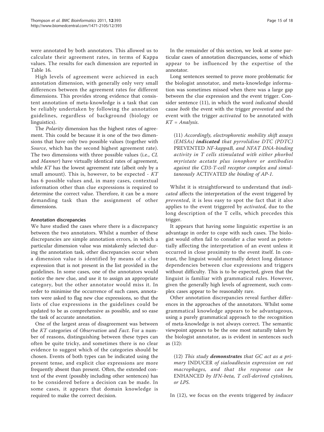were annotated by both annotators. This allowed us to calculate their agreement rates, in terms of Kappa values. The results for each dimension are reported in Table [16.](#page-14-0)

High levels of agreement were achieved in each annotation dimension, with generally only very small differences between the agreement rates for different dimensions. This provides strong evidence that consistent annotation of meta-knowledge is a task that can be reliably undertaken by following the annotation guidelines, regardless of background (biology or linguistics).

The Polarity dimension has the highest rates of agreement. This could be because it is one of the two dimensions that have only two possible values (together with Source, which has the second highest agreement rate). The two dimensions with three possible values (i.e., CL and Manner) have virtually identical rates of agreement, while KT has the lowest agreement rate (albeit only by a small amount). This is, however, to be expected - KT has 6 possible values and, in many cases, contextual information other than clue expressions is required to determine the correct value. Therefore, it can be a more demanding task than the assignment of other dimensions.

#### Annotation discrepancies

We have studied the cases where there is a discrepancy between the two annotators. Whilst a number of these discrepancies are simple annotation errors, in which a particular dimension value was mistakenly selected during the annotation task, other discrepancies occur when a dimension value is identified by means of a clue expression that is not present in the list provided in the guidelines. In some cases, one of the annotators would notice the new clue, and use it to assign an appropriate category, but the other annotator would miss it. In order to minimise the occurrence of such cases, annotators were asked to flag new clue expressions, so that the lists of clue expressions in the guidelines could be updated to be as comprehensive as possible, and so ease the task of accurate annotation.

One of the largest areas of disagreement was between the KT categories of Observation and Fact. For a number of reasons, distinguishing between these types can often be quite tricky, and sometimes there is no clear evidence to suggest which of the categories should be chosen. Events of both types can be indicated using the present tense, and explicit clue expressions are more frequently absent than present. Often, the extended context of the event (possibly including other sentences) has to be considered before a decision can be made. In some cases, it appears that domain knowledge is required to make the correct decision.

Page 15 of 18

In the remainder of this section, we look at some particular cases of annotation discrepancies, some of which appear to be influenced by the expertise of the annotator.

Long sentences seemed to prove more problematic for the biologist annotator, and meta-knowledge information was sometimes missed when there was a large gap between the clue expression and the event trigger. Consider sentence (11), in which the word *indicated* should cause both the event with the trigger prevented and the event with the trigger *activated* to be annotated with  $KT = Analysis$ .

(11) Accordingly, electrophoretic mobility shift assays (EMSAs) indicated that pyrrolidine DTC (PDTC) PREVENTED NF-kappaB, and NFAT DNA-binding activity in T cells stimulated with either phorbol myristate acetate plus ionophore or antibodies against the CD3-T-cell receptor complex and simultaneously ACTIVATED the binding of AP-1.

Whilst it is straightforward to understand that *indi*cated affects the interpretation of the event triggered by prevented, it is less easy to spot the fact that it also applies to the event triggered by *activated*, due to the long description of the T cells, which precedes this trigger.

It appears that having some linguistic expertise is an advantage in order to cope with such cases. The biologist would often fail to consider a clue word as potentially affecting the interpretation of an event unless it occurred in close proximity to the event itself. In contrast, the linguist would normally detect long distance dependencies between clue expressions and triggers without difficulty. This is to be expected, given that the linguist is familiar with grammatical rules. However, given the generally high levels of agreement, such complex cases appear to be reasonably rare.

Other annotation discrepancies reveal further differences in the approaches of the annotators. Whilst some grammatical knowledge appears to be advantageous, using a purely grammatical approach to the recognition of meta-knowledge is not always correct. The semantic viewpoint appears to be the one most naturally taken by the biologist annotator, as is evident in sentences such as (12):

 $(12)$  This study **demonstrates** that GC act as a primary INDUCER of sialoadhesin expression on rat macrophages, and that the response can be ENHANCED by IFN-beta, T cell-derived cytokines, or LPS.

In (12), we focus on the events triggered by inducer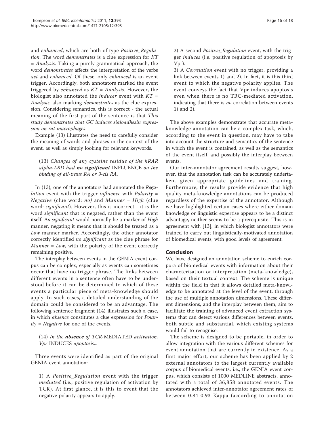and enhanced, which are both of type Positive\_Regulation. The word demonstrates is a clue expression for KT = Analysis. Taking a purely grammatical approach, the word demonstrates affects the interpretation of the verbs act and enhanced. Of these, only enhanced is an event trigger. Accordingly, both annotators marked the event triggered by enhanced as  $KT = Analysis$ . However, the biologist also annotated the *inducer* event with  $KT =$ Analysis, also marking demonstrates as the clue expression. Considering semantics, this is correct - the actual meaning of the first part of the sentence is that This study demonstrates that GC induces sialoadhesin expression on rat macrophages.

Example (13) illustrates the need to carefully consider the meaning of words and phrases in the context of the event, as well as simply looking for relevant keywords.

# (13) Changes of any cysteine residue of the hRAR alpha-LBD had no significant INFLUENCE on the binding of all-trans RA or 9-cis RA.

In (13), one of the annotators had annotated the Regu*lation* event with the trigger *influence* with *Polarity* = Negative (clue word: no) and Manner = High (clue word: *significant*). However, this is incorrect - it is the word *significant* that is negated, rather than the event itself. As *significant* would normally be a marker of *High* manner, negating it means that it should be treated as a Low manner marker. Accordingly, the other annotator correctly identified no significant as the clue phrase for  $Manner = Low$ , with the polarity of the event correctly remaining positive.

The interplay between events in the GENIA event corpus can be complex, especially as events can sometimes occur that have no trigger phrase. The links between different events in a sentence often have to be understood before it can be determined to which of these events a particular piece of meta-knowledge should apply. In such cases, a detailed understanding of the domain could be considered to be an advantage. The following sentence fragment (14) illustrates such a case, in which absence constitutes a clue expression for Polar $ity = Negative$  for one of the events.

# (14) In the absence of TCR-MEDIATED activation, Vpr INDUCES apoptosis...

Three events were identified as part of the original GENIA event annotation:

1) A Positive\_Regulation event with the trigger mediated (i.e., positive regulation of activation by TCR). At first glance, it is this to event that the negative polarity appears to apply.

Page 16 of 18

2) A second Positive\_Regulation event, with the trigger induces (i.e. positive regulation of apoptosis by Vpr).

3) A Correlation event with no trigger, providing a link between events 1) and 2). In fact, it is this third event to which the negative polarity applies. The event conveys the fact that Vpr induces apoptosis even when there is no TRC-mediated activation, indicating that there is no correlation between events 1) and 2).

The above examples demonstrate that accurate metaknowledge annotation can be a complex task, which, according to the event in question, may have to take into account the structure and semantics of the sentence in which the event is contained, as well as the semantics of the event itself, and possibly the interplay between events.

Our inter-annotator agreement results suggest, however, that the annotation task can be accurately undertaken, given appropriate guidelines and training. Furthermore, the results provide evidence that high quality meta-knowledge annotations can be produced regardless of the expertise of the annotator. Although we have highlighted certain cases where either domain knowledge or linguistic expertise appears to be a distinct advantage, neither seems to be a prerequisite. This is in agreement with [[13\]](#page-17-0), in which biologist annotators were trained to carry out linguistically-motivated annotation of biomedical events, with good levels of agreement.

# Conclusion

We have designed an annotation scheme to enrich corpora of biomedical events with information about their characterisation or interpretation (meta-knowledge), based on their textual context. The scheme is unique within the field in that it allows detailed meta-knowledge to be annotated at the level of the event, through the use of multiple annotation dimensions. These different dimensions, and the interplay between them, aim to facilitate the training of advanced event extraction systems that can detect various differences between events, both subtle and substantial, which existing systems would fail to recognise.

The scheme is designed to be portable, in order to allow integration with the various different schemes for event annotation that are currently in existence. As a first major effort, our scheme has been applied by 2 external annotators to the largest currently available corpus of biomedical events, i.e., the GENIA event corpus, which consists of 1000 MEDLINE abstracts, annotated with a total of 36,858 annotated events. The annotators achieved inter-annotator agreement rates of between 0.84-0.93 Kappa (according to annotation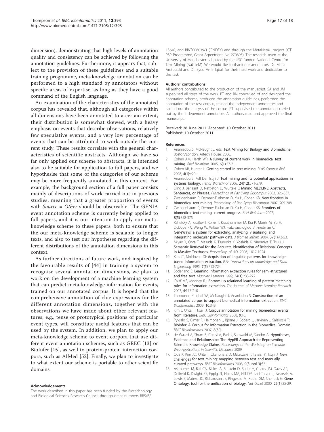<span id="page-17-0"></span>dimension), demonstrating that high levels of annotation quality and consistency can be achieved by following the annotation guidelines. Furthermore, it appears that, subject to the provision of these guidelines and a suitable training programme, meta-knowledge annotation can be performed to a high standard by annotators without specific areas of expertise, as long as they have a good command of the English language.

An examination of the characteristics of the annotated corpus has revealed that, although all categories within all dimensions have been annotated to a certain extent, their distribution is somewhat skewed, with a heavy emphasis on events that describe observations, relatively few speculative events, and a very low percentage of events that can be attributed to work outside the current study. These results correlate with the general characteristics of scientific abstracts. Although we have so far only applied our scheme to abstracts, it is intended also to be suitable for application to full papers, and we hypothesise that some of the categories of our scheme may be more frequently annotated in this context. For example, the background section of a full paper consists mainly of descriptions of work carried out in previous studies, meaning that a greater proportion of events with *Source* = Other should be observable. The GENIA event annotation scheme is currently being applied to full papers, and it is our intention to apply our metaknowledge scheme to these papers, both to ensure that the our meta-knowledge scheme is scalable to longer texts, and also to test our hypotheses regarding the different distributions of the annotation dimensions in this context.

As further directions of future work, and inspired by the favourable results of [[44\]](#page-18-0) in training a system to recognise several annotation dimensions, we plan to work on the development of a machine learning system that can predict meta-knowledge information for events, trained on our annotated corpus. It is hoped that the comprehensive annotation of clue expressions for the different annotation dimensions, together with the observations we have made about other relevant features, e.g., tense or prototypical positions of particular event types, will constitute useful features that can be used by the system. In addition, we plan to apply our meta-knowledge scheme to event corpora that use different event annotation schemes, such as GREC [13] or BioInfer [15], as well to protein-protein interaction corpora, such as AIMed [[52](#page-18-0)]. Finally, we plan to investigate to what extent our scheme is portable to other scientific domains.

#### Acknowledgements

The work described in this paper has been funded by the Biotechnology and Biological Sciences Research Council through grant numbers BBS/B/

13640, and BB/F006039/1 (ONDEX) and through the MetaNet4U project (ICT PSP Programme, Grant Agreement: No 270893). The research team at the University of Manchester is hosted by the JISC funded National Centre for Text Mining (NaCTeM). We would like to thank our annotators, Dr. Maria Aretoulaki and Dr. Syed Amir Iqbal, for their hard work and dedication to the task.

#### Authors' contributions

All authors contributed to the production of the manuscript. SA and JM supervised all steps of the work. PT and RN conceived of and designed the annotation scheme, produced the annotation guidelines, performed the annotation of the test corpus, trained the independent annotators and carried out the analysis of the corpus. PT supervised the annotation carried out by the independent annotators. All authors read and approved the final manuscript.

#### Received: 28 June 2011 Accepted: 10 October 2011 Published: 10 October 2011

#### References

- Ananiadou S, McNaught J, eds: Text Mining for Biology and Biomedicine. Boston/London: Artech House; 2006.
- 2. Cohen AM, Hersh WR: [A survey of current work in biomedical text](http://www.ncbi.nlm.nih.gov/pubmed/15826357?dopt=Abstract) [mining.](http://www.ncbi.nlm.nih.gov/pubmed/15826357?dopt=Abstract) Brief Bioinform 2005, 6(1):57-71.
- 3. Cohen KB, Hunter L: [Getting started in text mining.](http://www.ncbi.nlm.nih.gov/pubmed/18225946?dopt=Abstract) PLoS Comput Biol 2008, 4(1):e20.
- 4. Ananiadou S, Kell DB, Tsujii J: [Text mining and its potential applications in](http://www.ncbi.nlm.nih.gov/pubmed/17045684?dopt=Abstract) [systems biology.](http://www.ncbi.nlm.nih.gov/pubmed/17045684?dopt=Abstract) Trends Biotechnol 2006, 24(12):571-579.
- 5. Ding J, Berleant D, Nettleton D, Wurtele E: Mining MEDLINE: Abstracts, Sentences, or Phrases. Proceedings of Pac Symp Biocomput 2002, 326-337.
- 6. Zweigenbaum P, Demner-Fushman D, Yu H, Cohen KB: New frontiers in biomedical text mining. Proceedings of Pac Symp Biocomput 2007, 205-208.
- 7. Zweigenbaum P, Demner-Fushman D, Yu H, Cohen KB: [Frontiers of](http://www.ncbi.nlm.nih.gov/pubmed/17977867?dopt=Abstract) [biomedical text mining: current progress.](http://www.ncbi.nlm.nih.gov/pubmed/17977867?dopt=Abstract) Brief Bioinform 2007, 8(5):358-375.
- 8. Rzhetsky A, Iossifov I, Koike T, Krauthammer M, Kra P, Morris M, Yu H, Duboue PA, Weng W, Wilbur WJ, Hatzivassiloglou V, Friedman C: [GeneWays: a system for extracting, analyzing, visualizing, and](http://www.ncbi.nlm.nih.gov/pubmed/15016385?dopt=Abstract) [integrating molecular pathway data.](http://www.ncbi.nlm.nih.gov/pubmed/15016385?dopt=Abstract) J Biomed Inform 2004, 37(1):43-53.
- 9. Miyao Y, Ohta T, Masuda K, Tsuruoka Y, Yoshida K, Ninomiya T, Tsujii J: Semantic Retrieval for the Accurate Identification of Relational Concepts in Massive Textbases. Proceedings of ACL 2006, 1017-1024.
- 10. Kim JT, Moldovan DI: Acquisition of linguistic patterns for knowledgebased information extraction. IEEE Transactions on Knowledge and Data Engineering 1995, 7(5):713-724.
- 11. Soderland S: Learning information extraction rules for semi-structured and free text. Machine Learning 1999, 34(1):233-272.
- 12. Califf ME, Mooney RJ: Bottom-up relational learning of pattern matching rules for information extraction. The Journal of Machine Learning Research 2003, 4:177-210.
- 13. Thompson P, Iqbal SA, McNaught J, Ananiadou S: [Construction of an](http://www.ncbi.nlm.nih.gov/pubmed/19852798?dopt=Abstract) [annotated corpus to support biomedical information extraction.](http://www.ncbi.nlm.nih.gov/pubmed/19852798?dopt=Abstract) BMC Bioinformatics 2009, 10:349.
- 14. Kim J, Ohta T, Tsujii J: [Corpus annotation for mining biomedical events](http://www.ncbi.nlm.nih.gov/pubmed/18182099?dopt=Abstract) [from literature.](http://www.ncbi.nlm.nih.gov/pubmed/18182099?dopt=Abstract) BMC Bioinformatics 2008, 9:10.
- 15. Pyysalo S, Ginter F, Heimonen J, Björne J, Boberg J, Järvinen J, Salakoski T: BioInfer: A Corpus for Information Extraction in the Biomedical Domain. BMC Bioinformatics 2007, 8(50).
- 16. de Waard A, Shum B, Carusi A, Park J, Samwald M, Sándor Á: Hypotheses, Evidence and Relationships: The HypER Approach for Representing Scientific Knowledge Claims. Proceedings of the Workshop on Semantic Web Applications in Scientific Discourse 2009.
- 17. Oda K, Kim JD, Ohta T, Okanohara D, Matsuzaki T, Tateisi Y, Tsujii J: [New](http://www.ncbi.nlm.nih.gov/pubmed/19091028?dopt=Abstract) challenges [for text mining: mapping between text and manually](http://www.ncbi.nlm.nih.gov/pubmed/19091028?dopt=Abstract) [curated pathways.](http://www.ncbi.nlm.nih.gov/pubmed/19091028?dopt=Abstract) BMC Bioinformatics 2008, 9(Suppl 3):S5.
- 18. Ashburner M, Ball CA, Blake JA, Botstein D, Butler H, Cherry JM, Davis AP, Dolinski K, Dwight SS, Eppig JT, Harris MA, Hill DP, Issel-Tarver L, Kasarskis A, Lewis S, Matese JC, Richardson JE, Ringwald M, Rubin GM, Sherlock G: [Gene](http://www.ncbi.nlm.nih.gov/pubmed/10802651?dopt=Abstract) [Ontology: tool for the unification of biology.](http://www.ncbi.nlm.nih.gov/pubmed/10802651?dopt=Abstract) Nat Genet 2000, 25(1):25-29.